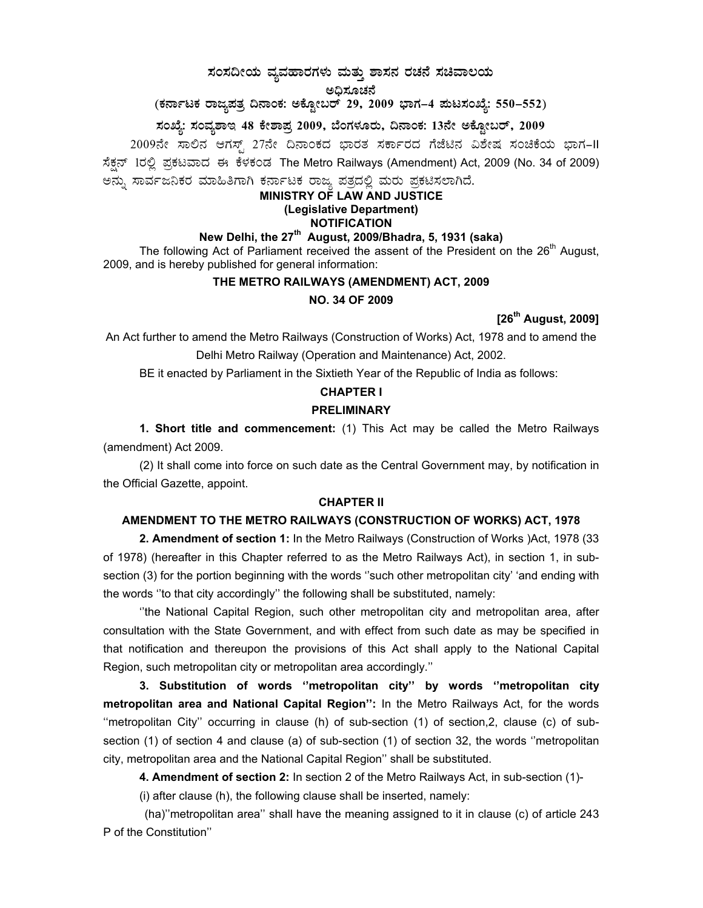# $\,$ ಸಂಸದೀಯ ವ್ಯವಹಾರಗಳು ಮತ್ತು ಶಾಸನ ರಚನೆ ಸಚಿವಾಲಯ

#### ಅದಿಸೂಚನೆ

(ಕರ್ನಾಟಕ ರಾಜ್ಯಪತ್ರ ದಿನಾಂಕ: ಅಕ್ಟೋಬರ್ 29, 2009 ಭಾಗ–4 **ಮಟಸಂಖ್ಯೆ: 550–552**)

# ಸಂಖ್ಯೆ: ಸಂವ್ನಶಾಇ 48 ಕೇಶಾಪ್ರ 2009, ಬೆಂಗಳೂರು, ದಿನಾಂಕ: 13ನೇ ಅಕ್ಟೋಬರ್, 2009

2009ನೇ ಸಾಲಿನ ಆಗಸ್ಟ್ 27ನೇ ದಿನಾಂಕದ ಭಾರತ ಸರ್ಕಾರದ ಗೆಜೆಟಿನ ವಿಶೇಷ ಸಂಚಿಕೆಯ ಭಾಗ-II ಸೆಕ್ಷನ್ 1ರಲ್ಲಿ ಪ್ರಕಟವಾದ ಈ ಕೆಳಕಂಡ The Metro Railways (Amendment) Act, 2009 (No. 34 of 2009) ಅನ್ನು ಸಾರ್ವಜನಿಕರ ಮಾಹಿತಿಗಾಗಿ ಕರ್ನಾಟಕ ರಾಜ್ಯ ಪತ್ರದಲ್ಲಿ ಮರು ಪ್ರಕಟಿಸಲಾಗಿದೆ.

#### **MINISTRY OF LAW AND JUSTICE (Legislative Department) NOTIFICATION**

**New Delhi, the 27th August, 2009/Bhadra, 5, 1931 (saka)**  The following Act of Parliament received the assent of the President on the  $26<sup>th</sup>$  August, 2009, and is hereby published for general information:

## **THE METRO RAILWAYS (AMENDMENT) ACT, 2009**

#### **NO. 34 OF 2009**

## **[26th August, 2009]**

An Act further to amend the Metro Railways (Construction of Works) Act, 1978 and to amend the Delhi Metro Railway (Operation and Maintenance) Act, 2002.

BE it enacted by Parliament in the Sixtieth Year of the Republic of India as follows:

## **CHAPTER I**

### **PRELIMINARY**

**1. Short title and commencement:** (1) This Act may be called the Metro Railways (amendment) Act 2009.

(2) It shall come into force on such date as the Central Government may, by notification in the Official Gazette, appoint.

#### **CHAPTER II**

### **AMENDMENT TO THE METRO RAILWAYS (CONSTRUCTION OF WORKS) ACT, 1978**

**2. Amendment of section 1:** In the Metro Railways (Construction of Works )Act, 1978 (33 of 1978) (hereafter in this Chapter referred to as the Metro Railways Act), in section 1, in subsection (3) for the portion beginning with the words "such other metropolitan city' 'and ending with the words ''to that city accordingly'' the following shall be substituted, namely:

 ''the National Capital Region, such other metropolitan city and metropolitan area, after consultation with the State Government, and with effect from such date as may be specified in that notification and thereupon the provisions of this Act shall apply to the National Capital Region, such metropolitan city or metropolitan area accordingly.''

**3. Substitution of words ''metropolitan city'' by words ''metropolitan city metropolitan area and National Capital Region'':** In the Metro Railways Act, for the words ''metropolitan City'' occurring in clause (h) of sub-section (1) of section,2, clause (c) of subsection (1) of section 4 and clause (a) of sub-section (1) of section 32, the words ''metropolitan city, metropolitan area and the National Capital Region'' shall be substituted.

**4. Amendment of section 2:** In section 2 of the Metro Railways Act, in sub-section (1)-

(i) after clause (h), the following clause shall be inserted, namely:

 (ha)''metropolitan area'' shall have the meaning assigned to it in clause (c) of article 243 P of the Constitution''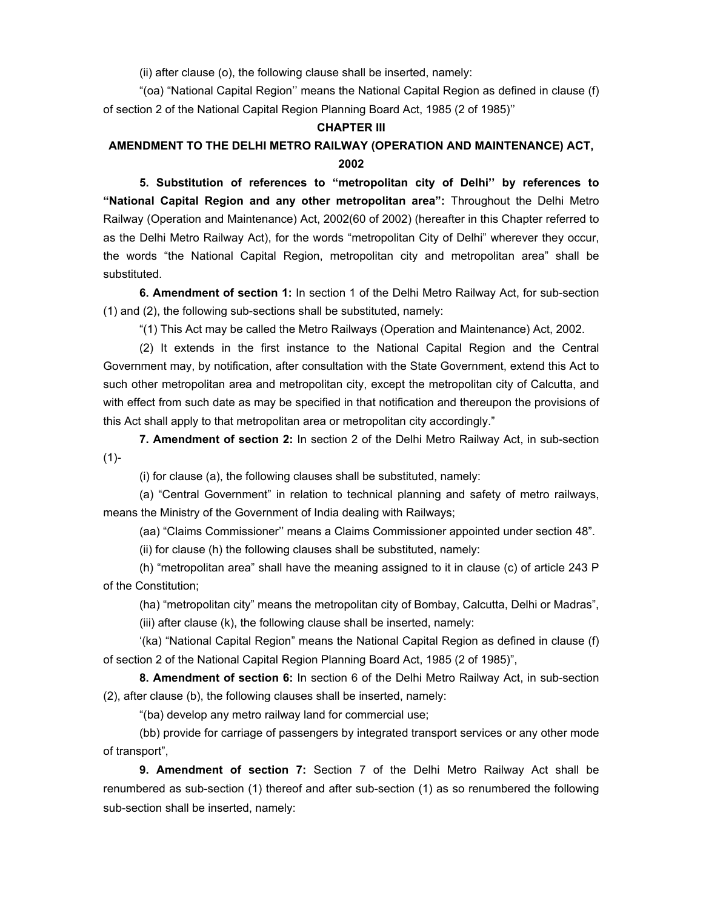(ii) after clause (o), the following clause shall be inserted, namely:

 "(oa) "National Capital Region'' means the National Capital Region as defined in clause (f) of section 2 of the National Capital Region Planning Board Act, 1985 (2 of 1985)''

#### **CHAPTER III**

# **AMENDMENT TO THE DELHI METRO RAILWAY (OPERATION AND MAINTENANCE) ACT, 2002**

**5. Substitution of references to "metropolitan city of Delhi'' by references to "National Capital Region and any other metropolitan area":** Throughout the Delhi Metro Railway (Operation and Maintenance) Act, 2002(60 of 2002) (hereafter in this Chapter referred to as the Delhi Metro Railway Act), for the words "metropolitan City of Delhi" wherever they occur, the words "the National Capital Region, metropolitan city and metropolitan area" shall be substituted.

**6. Amendment of section 1:** In section 1 of the Delhi Metro Railway Act, for sub-section (1) and (2), the following sub-sections shall be substituted, namely:

"(1) This Act may be called the Metro Railways (Operation and Maintenance) Act, 2002.

 (2) It extends in the first instance to the National Capital Region and the Central Government may, by notification, after consultation with the State Government, extend this Act to such other metropolitan area and metropolitan city, except the metropolitan city of Calcutta, and with effect from such date as may be specified in that notification and thereupon the provisions of this Act shall apply to that metropolitan area or metropolitan city accordingly."

**7. Amendment of section 2:** In section 2 of the Delhi Metro Railway Act, in sub-section (1)-

(i) for clause (a), the following clauses shall be substituted, namely:

 (a) "Central Government" in relation to technical planning and safety of metro railways, means the Ministry of the Government of India dealing with Railways;

(aa) "Claims Commissioner'' means a Claims Commissioner appointed under section 48".

(ii) for clause (h) the following clauses shall be substituted, namely:

 (h) "metropolitan area" shall have the meaning assigned to it in clause (c) of article 243 P of the Constitution;

(ha) "metropolitan city" means the metropolitan city of Bombay, Calcutta, Delhi or Madras",

(iii) after clause (k), the following clause shall be inserted, namely:

 '(ka) "National Capital Region" means the National Capital Region as defined in clause (f) of section 2 of the National Capital Region Planning Board Act, 1985 (2 of 1985)",

**8. Amendment of section 6:** In section 6 of the Delhi Metro Railway Act, in sub-section (2), after clause (b), the following clauses shall be inserted, namely:

"(ba) develop any metro railway land for commercial use;

 (bb) provide for carriage of passengers by integrated transport services or any other mode of transport",

**9. Amendment of section 7:** Section 7 of the Delhi Metro Railway Act shall be renumbered as sub-section (1) thereof and after sub-section (1) as so renumbered the following sub-section shall be inserted, namely: